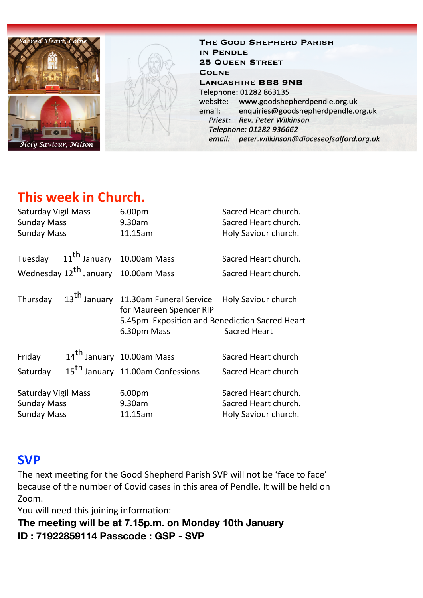

THE GOOD SHEPHERD PARISH IN PENDLE **25 QUEEN STREET COLNE LANCASHIRE BB8 9NB** Telephone: 01282 863135 website: www.goodshepherdpendle.org.uk enquiries@goodshepherdpendle.org.uk email: Priest: Rev. Peter Wilkinson Telephone: 01282 936662 email: peter.wilkinson@dioceseofsalford.org.uk

# **This week in Church.**

| <b>Saturday Vigil Mass</b> |  | 6.00 <sub>pm</sub>                               | Sacred Heart church.       |
|----------------------------|--|--------------------------------------------------|----------------------------|
| <b>Sunday Mass</b>         |  | 9.30am                                           | Sacred Heart church.       |
| <b>Sunday Mass</b>         |  | 11.15am                                          | Holy Saviour church.       |
|                            |  |                                                  |                            |
|                            |  | Tuesday 11 <sup>th</sup> January 10.00am Mass    | Sacred Heart church.       |
|                            |  | Wednesday 12 <sup>th</sup> January 10.00am Mass  | Sacred Heart church.       |
| Thursday                   |  | 13 <sup>th</sup> January 11.30am Funeral Service | <b>Holy Saviour church</b> |
|                            |  | for Maureen Spencer RIP                          |                            |
|                            |  | 5.45pm Exposition and Benediction Sacred Heart   |                            |
|                            |  | 6.30pm Mass                                      | <b>Sacred Heart</b>        |
|                            |  |                                                  |                            |
| Friday                     |  | 14 <sup>th</sup> January 10.00am Mass            | Sacred Heart church        |
| Saturday                   |  | 15 <sup>th</sup> January 11.00am Confessions     | Sacred Heart church        |
| Saturday Vigil Mass        |  | 6.00pm                                           | Sacred Heart church.       |
| <b>Sunday Mass</b>         |  | 9.30am                                           | Sacred Heart church.       |
| <b>Sunday Mass</b>         |  | 11.15am                                          | Holy Saviour church.       |

## **SVP**

The next meeting for the Good Shepherd Parish SVP will not be 'face to face' because of the number of Covid cases in this area of Pendle. It will be held on Zoom.

You will need this joining information:

**The meeting will be at 7.15p.m. on Monday 10th January ID : 71922859114 Passcode : GSP - SVP**